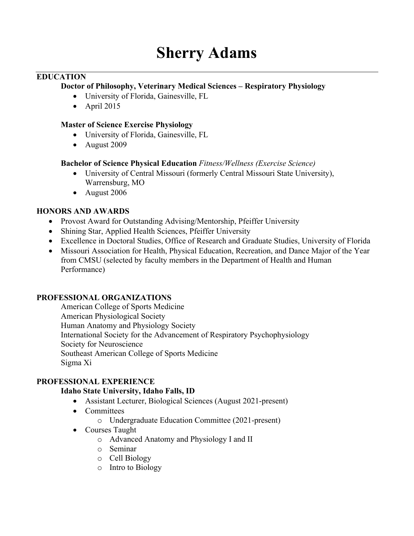### **EDUCATION**

### **Doctor of Philosophy, Veterinary Medical Sciences – Respiratory Physiology**

- University of Florida, Gainesville, FL
- April  $2015$

### **Master of Science Exercise Physiology**

- University of Florida, Gainesville, FL
- August 2009

### **Bachelor of Science Physical Education** *Fitness/Wellness (Exercise Science)*

- University of Central Missouri (formerly Central Missouri State University), Warrensburg, MO
- August 2006

### **HONORS AND AWARDS**

- Provost Award for Outstanding Advising/Mentorship, Pfeiffer University
- Shining Star, Applied Health Sciences, Pfeiffer University
- Excellence in Doctoral Studies, Office of Research and Graduate Studies, University of Florida
- Missouri Association for Health, Physical Education, Recreation, and Dance Major of the Year from CMSU (selected by faculty members in the Department of Health and Human Performance)

#### **PROFESSIONAL ORGANIZATIONS**

American College of Sports Medicine American Physiological Society Human Anatomy and Physiology Society International Society for the Advancement of Respiratory Psychophysiology Society for Neuroscience Southeast American College of Sports Medicine Sigma Xi

## **PROFESSIONAL EXPERIENCE**

### **Idaho State University, Idaho Falls, ID**

- Assistant Lecturer, Biological Sciences (August 2021-present)
- Committees
	- o Undergraduate Education Committee (2021-present)
- Courses Taught
	- o Advanced Anatomy and Physiology I and II
	- o Seminar
	- o Cell Biology
	- o Intro to Biology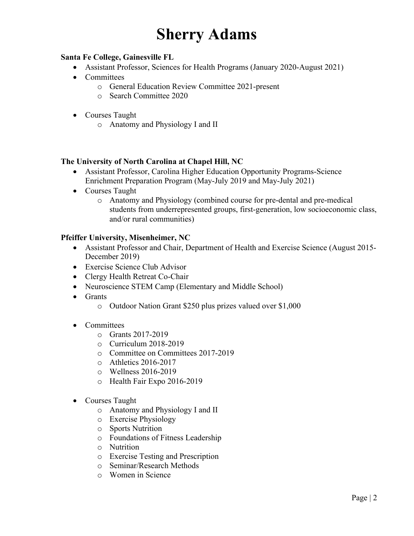## **Santa Fe College, Gainesville FL**

- Assistant Professor, Sciences for Health Programs (January 2020-August 2021)
- Committees
	- o General Education Review Committee 2021-present
		- o Search Committee 2020
- Courses Taught
	- o Anatomy and Physiology I and II

#### **The University of North Carolina at Chapel Hill, NC**

- Assistant Professor, Carolina Higher Education Opportunity Programs-Science Enrichment Preparation Program (May-July 2019 and May-July 2021)
- Courses Taught
	- o Anatomy and Physiology (combined course for pre-dental and pre-medical students from underrepresented groups, first-generation, low socioeconomic class, and/or rural communities)

#### **Pfeiffer University, Misenheimer, NC**

- Assistant Professor and Chair, Department of Health and Exercise Science (August 2015-December 2019)
- Exercise Science Club Advisor
- Clergy Health Retreat Co-Chair
- Neuroscience STEM Camp (Elementary and Middle School)
- Grants
	- o Outdoor Nation Grant \$250 plus prizes valued over \$1,000
- Committees
	- o Grants 2017-2019
	- o Curriculum 2018-2019
	- o Committee on Committees 2017-2019
	- o Athletics 2016-2017
	- o Wellness 2016-2019
	- o Health Fair Expo 2016-2019
- Courses Taught
	- o Anatomy and Physiology I and II
	- o Exercise Physiology
	- o Sports Nutrition
	- o Foundations of Fitness Leadership
	- o Nutrition
	- o Exercise Testing and Prescription
	- o Seminar/Research Methods
	- o Women in Science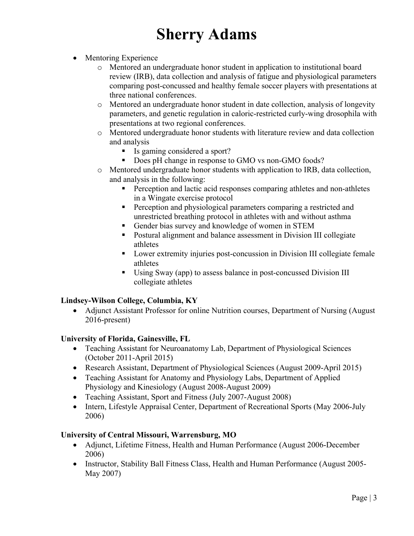- Mentoring Experience
	- o Mentored an undergraduate honor student in application to institutional board review (IRB), data collection and analysis of fatigue and physiological parameters comparing post-concussed and healthy female soccer players with presentations at three national conferences.
	- o Mentored an undergraduate honor student in date collection, analysis of longevity parameters, and genetic regulation in caloric-restricted curly-wing drosophila with presentations at two regional conferences.
	- o Mentored undergraduate honor students with literature review and data collection and analysis
		- Is gaming considered a sport?
		- Does pH change in response to GMO vs non-GMO foods?
	- o Mentored undergraduate honor students with application to IRB, data collection, and analysis in the following:
		- Perception and lactic acid responses comparing athletes and non-athletes in a Wingate exercise protocol
		- **•** Perception and physiological parameters comparing a restricted and unrestricted breathing protocol in athletes with and without asthma
		- Gender bias survey and knowledge of women in STEM
		- Postural alignment and balance assessment in Division III collegiate athletes
		- Lower extremity injuries post-concussion in Division III collegiate female athletes
		- Using Sway (app) to assess balance in post-concussed Division III collegiate athletes

## **Lindsey-Wilson College, Columbia, KY**

• Adjunct Assistant Professor for online Nutrition courses, Department of Nursing (August) 2016-present)

## **University of Florida, Gainesville, FL**

- Teaching Assistant for Neuroanatomy Lab, Department of Physiological Sciences (October 2011-April 2015)
- Research Assistant, Department of Physiological Sciences (August 2009-April 2015)
- Teaching Assistant for Anatomy and Physiology Labs, Department of Applied Physiology and Kinesiology (August 2008-August 2009)
- Teaching Assistant, Sport and Fitness (July 2007-August 2008)
- Intern, Lifestyle Appraisal Center, Department of Recreational Sports (May 2006-July 2006)

#### **University of Central Missouri, Warrensburg, MO**

- Adjunct, Lifetime Fitness, Health and Human Performance (August 2006-December 2006)
- Instructor, Stability Ball Fitness Class, Health and Human Performance (August 2005-May 2007)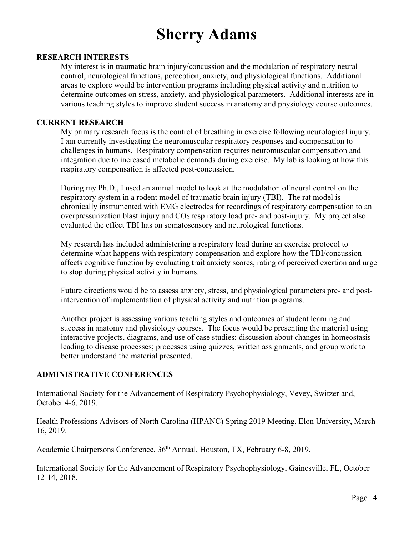#### **RESEARCH INTERESTS**

My interest is in traumatic brain injury/concussion and the modulation of respiratory neural control, neurological functions, perception, anxiety, and physiological functions. Additional areas to explore would be intervention programs including physical activity and nutrition to determine outcomes on stress, anxiety, and physiological parameters. Additional interests are in various teaching styles to improve student success in anatomy and physiology course outcomes.

#### **CURRENT RESEARCH**

My primary research focus is the control of breathing in exercise following neurological injury. I am currently investigating the neuromuscular respiratory responses and compensation to challenges in humans. Respiratory compensation requires neuromuscular compensation and integration due to increased metabolic demands during exercise. My lab is looking at how this respiratory compensation is affected post-concussion.

During my Ph.D., I used an animal model to look at the modulation of neural control on the respiratory system in a rodent model of traumatic brain injury (TBI). The rat model is chronically instrumented with EMG electrodes for recordings of respiratory compensation to an overpressurization blast injury and  $CO<sub>2</sub>$  respiratory load pre- and post-injury. My project also evaluated the effect TBI has on somatosensory and neurological functions.

My research has included administering a respiratory load during an exercise protocol to determine what happens with respiratory compensation and explore how the TBI/concussion affects cognitive function by evaluating trait anxiety scores, rating of perceived exertion and urge to stop during physical activity in humans.

Future directions would be to assess anxiety, stress, and physiological parameters pre- and postintervention of implementation of physical activity and nutrition programs.

Another project is assessing various teaching styles and outcomes of student learning and success in anatomy and physiology courses. The focus would be presenting the material using interactive projects, diagrams, and use of case studies; discussion about changes in homeostasis leading to disease processes; processes using quizzes, written assignments, and group work to better understand the material presented.

#### **ADMINISTRATIVE CONFERENCES**

International Society for the Advancement of Respiratory Psychophysiology, Vevey, Switzerland, October 4-6, 2019.

Health Professions Advisors of North Carolina (HPANC) Spring 2019 Meeting, Elon University, March 16, 2019.

Academic Chairpersons Conference,  $36<sup>th</sup>$  Annual, Houston, TX, February 6-8, 2019.

International Society for the Advancement of Respiratory Psychophysiology, Gainesville, FL, October 12-14, 2018.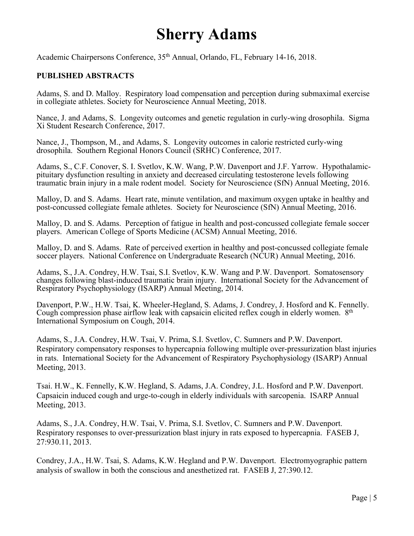Academic Chairpersons Conference, 35th Annual, Orlando, FL, February 14-16, 2018.

### **PUBLISHED ABSTRACTS**

Adams, S. and D. Malloy. Respiratory load compensation and perception during submaximal exercise in collegiate athletes. Society for Neuroscience Annual Meeting, 2018.

Nance, J. and Adams, S. Longevity outcomes and genetic regulation in curly-wing drosophila. Sigma Xi Student Research Conference, 2017.

Nance, J., Thompson, M., and Adams, S. Longevity outcomes in calorie restricted curly-wing drosophila. Southern Regional Honors Council (SRHC) Conference, 2017.

Adams, S., C.F. Conover, S. I. Svetlov, K.W. Wang, P.W. Davenport and J.F. Yarrow. Hypothalamicpituitary dysfunction resulting in anxiety and decreased circulating testosterone levels following traumatic brain injury in a male rodent model. Society for Neuroscience (SfN) Annual Meeting, 2016.

Malloy, D. and S. Adams. Heart rate, minute ventilation, and maximum oxygen uptake in healthy and post-concussed collegiate female athletes. Society for Neuroscience (SfN) Annual Meeting, 2016.

Malloy, D. and S. Adams. Perception of fatigue in health and post-concussed collegiate female soccer players. American College of Sports Medicine (ACSM) Annual Meeting, 2016.

Malloy, D. and S. Adams. Rate of perceived exertion in healthy and post-concussed collegiate female soccer players. National Conference on Undergraduate Research (NCUR) Annual Meeting, 2016.

Adams, S., J.A. Condrey, H.W. Tsai, S.I. Svetlov, K.W. Wang and P.W. Davenport. Somatosensory changes following blast-induced traumatic brain injury. International Society for the Advancement of Respiratory Psychophysiology (ISARP) Annual Meeting, 2014.

Davenport, P.W., H.W. Tsai, K. Wheeler-Hegland, S. Adams, J. Condrey, J. Hosford and K. Fennelly. Cough compression phase airflow leak with capsaicin elicited reflex cough in elderly women. 8<sup>th</sup> International Symposium on Cough, 2014.

Adams, S., J.A. Condrey, H.W. Tsai, V. Prima, S.I. Svetlov, C. Sumners and P.W. Davenport. Respiratory compensatory responses to hypercapnia following multiple over-pressurization blast injuries in rats. International Society for the Advancement of Respiratory Psychophysiology (ISARP) Annual Meeting, 2013.

Tsai. H.W., K. Fennelly, K.W. Hegland, S. Adams, J.A. Condrey, J.L. Hosford and P.W. Davenport. Capsaicin induced cough and urge-to-cough in elderly individuals with sarcopenia. ISARP Annual Meeting, 2013.

Adams, S., J.A. Condrey, H.W. Tsai, V. Prima, S.I. Svetlov, C. Sumners and P.W. Davenport. Respiratory responses to over-pressurization blast injury in rats exposed to hypercapnia. FASEB J, 27:930.11, 2013.

Condrey, J.A., H.W. Tsai, S. Adams, K.W. Hegland and P.W. Davenport. Electromyographic pattern analysis of swallow in both the conscious and anesthetized rat. FASEB J, 27:390.12.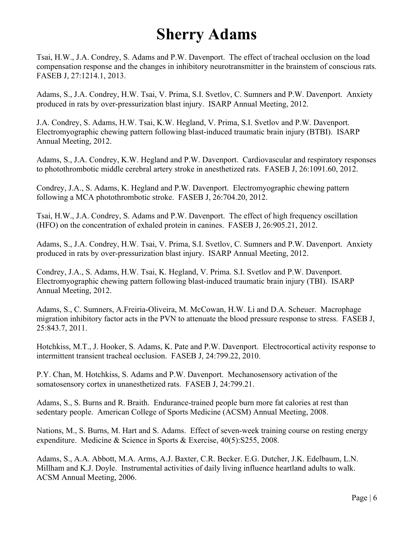Tsai, H.W., J.A. Condrey, S. Adams and P.W. Davenport. The effect of tracheal occlusion on the load compensation response and the changes in inhibitory neurotransmitter in the brainstem of conscious rats. FASEB J, 27:1214.1, 2013.

Adams, S., J.A. Condrey, H.W. Tsai, V. Prima, S.I. Svetlov, C. Sumners and P.W. Davenport. Anxiety produced in rats by over-pressurization blast injury. ISARP Annual Meeting, 2012.

J.A. Condrey, S. Adams, H.W. Tsai, K.W. Hegland, V. Prima, S.I. Svetlov and P.W. Davenport. Electromyographic chewing pattern following blast-induced traumatic brain injury (BTBI). ISARP Annual Meeting, 2012.

Adams, S., J.A. Condrey, K.W. Hegland and P.W. Davenport. Cardiovascular and respiratory responses to photothrombotic middle cerebral artery stroke in anesthetized rats. FASEB J, 26:1091.60, 2012.

Condrey, J.A., S. Adams, K. Hegland and P.W. Davenport. Electromyographic chewing pattern following a MCA photothrombotic stroke. FASEB J, 26:704.20, 2012.

Tsai, H.W., J.A. Condrey, S. Adams and P.W. Davenport. The effect of high frequency oscillation (HFO) on the concentration of exhaled protein in canines. FASEB J, 26:905.21, 2012.

Adams, S., J.A. Condrey, H.W. Tsai, V. Prima, S.I. Svetlov, C. Sumners and P.W. Davenport. Anxiety produced in rats by over-pressurization blast injury. ISARP Annual Meeting, 2012.

Condrey, J.A., S. Adams, H.W. Tsai, K. Hegland, V. Prima. S.I. Svetlov and P.W. Davenport. Electromyographic chewing pattern following blast-induced traumatic brain injury (TBI). ISARP Annual Meeting, 2012.

Adams, S., C. Sumners, A.Freiria-Oliveira, M. McCowan, H.W. Li and D.A. Scheuer. Macrophage migration inhibitory factor acts in the PVN to attenuate the blood pressure response to stress. FASEB J, 25:843.7, 2011.

Hotchkiss, M.T., J. Hooker, S. Adams, K. Pate and P.W. Davenport. Electrocortical activity response to intermittent transient tracheal occlusion. FASEB J, 24:799.22, 2010.

P.Y. Chan, M. Hotchkiss, S. Adams and P.W. Davenport. Mechanosensory activation of the somatosensory cortex in unanesthetized rats. FASEB J, 24:799.21.

Adams, S., S. Burns and R. Braith. Endurance-trained people burn more fat calories at rest than sedentary people. American College of Sports Medicine (ACSM) Annual Meeting, 2008.

Nations, M., S. Burns, M. Hart and S. Adams. Effect of seven-week training course on resting energy expenditure. Medicine & Science in Sports & Exercise, 40(5):S255, 2008.

Adams, S., A.A. Abbott, M.A. Arms, A.J. Baxter, C.R. Becker. E.G. Dutcher, J.K. Edelbaum, L.N. Millham and K.J. Doyle. Instrumental activities of daily living influence heartland adults to walk. ACSM Annual Meeting, 2006.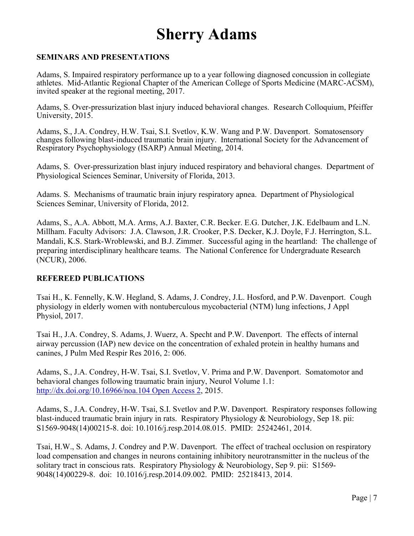### **SEMINARS AND PRESENTATIONS**

Adams, S. Impaired respiratory performance up to a year following diagnosed concussion in collegiate athletes. Mid-Atlantic Regional Chapter of the American College of Sports Medicine (MARC-ACSM), invited speaker at the regional meeting, 2017.

Adams, S. Over-pressurization blast injury induced behavioral changes. Research Colloquium, Pfeiffer University, 2015.

Adams, S., J.A. Condrey, H.W. Tsai, S.I. Svetlov, K.W. Wang and P.W. Davenport. Somatosensory changes following blast-induced traumatic brain injury. International Society for the Advancement of Respiratory Psychophysiology (ISARP) Annual Meeting, 2014.

Adams, S. Over-pressurization blast injury induced respiratory and behavioral changes. Department of Physiological Sciences Seminar, University of Florida, 2013.

Adams. S. Mechanisms of traumatic brain injury respiratory apnea. Department of Physiological Sciences Seminar, University of Florida, 2012.

Adams, S., A.A. Abbott, M.A. Arms, A.J. Baxter, C.R. Becker. E.G. Dutcher, J.K. Edelbaum and L.N. Millham. Faculty Advisors: J.A. Clawson, J.R. Crooker, P.S. Decker, K.J. Doyle, F.J. Herrington, S.L. Mandali, K.S. Stark-Wroblewski, and B.J. Zimmer. Successful aging in the heartland: The challenge of preparing interdisciplinary healthcare teams. The National Conference for Undergraduate Research (NCUR), 2006.

#### **REFEREED PUBLICATIONS**

Tsai H., K. Fennelly, K.W. Hegland, S. Adams, J. Condrey, J.L. Hosford, and P.W. Davenport. Cough physiology in elderly women with nontuberculous mycobacterial (NTM) lung infections, J Appl Physiol, 2017.

Tsai H., J.A. Condrey, S. Adams, J. Wuerz, A. Specht and P.W. Davenport. The effects of internal airway percussion (IAP) new device on the concentration of exhaled protein in healthy humans and canines, J Pulm Med Respir Res 2016, 2: 006.

Adams, S., J.A. Condrey, H-W. Tsai, S.I. Svetlov, V. Prima and P.W. Davenport. Somatomotor and behavioral changes following traumatic brain injury, Neurol Volume 1.1: http://dx.doi.org/10.16966/noa.104 Open Access 2, 2015.

Adams, S., J.A. Condrey, H-W. Tsai, S.I. Svetlov and P.W. Davenport. Respiratory responses following blast-induced traumatic brain injury in rats. Respiratory Physiology & Neurobiology, Sep 18. pii: S1569-9048(14)00215-8. doi: 10.1016/j.resp.2014.08.015. PMID: 25242461, 2014.

Tsai, H.W., S. Adams, J. Condrey and P.W. Davenport. The effect of tracheal occlusion on respiratory load compensation and changes in neurons containing inhibitory neurotransmitter in the nucleus of the solitary tract in conscious rats. Respiratory Physiology & Neurobiology, Sep 9. pii: S1569- 9048(14)00229-8. doi: 10.1016/j.resp.2014.09.002. PMID: 25218413, 2014.